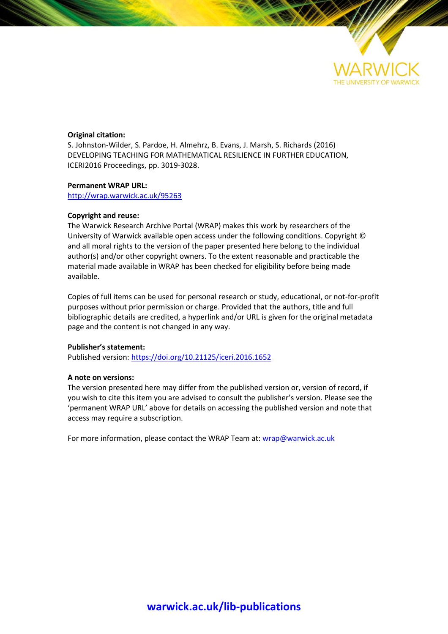

#### **Original citation:**

S. Johnston-Wilder, S. Pardoe, H. Almehrz, B. Evans, J. Marsh, S. Richards (2016) DEVELOPING TEACHING FOR MATHEMATICAL RESILIENCE IN FURTHER EDUCATION, ICERI2016 Proceedings, pp. 3019-3028.

#### **Permanent WRAP URL:**

<http://wrap.warwick.ac.uk/95263>

#### **Copyright and reuse:**

The Warwick Research Archive Portal (WRAP) makes this work by researchers of the University of Warwick available open access under the following conditions. Copyright © and all moral rights to the version of the paper presented here belong to the individual author(s) and/or other copyright owners. To the extent reasonable and practicable the material made available in WRAP has been checked for eligibility before being made available.

Copies of full items can be used for personal research or study, educational, or not-for-profit purposes without prior permission or charge. Provided that the authors, title and full bibliographic details are credited, a hyperlink and/or URL is given for the original metadata page and the content is not changed in any way.

#### **Publisher's statement:**

Published version: <https://doi.org/10.21125/iceri.2016.1652>

#### **A note on versions:**

The version presented here may differ from the published version or, version of record, if you wish to cite this item you are advised to consult the publisher's version. Please see the 'permanent WRAP URL' above for details on accessing the published version and note that access may require a subscription.

For more information, please contact the WRAP Team at[: wrap@warwick.ac.uk](mailto:wrap@warwick.ac.uk)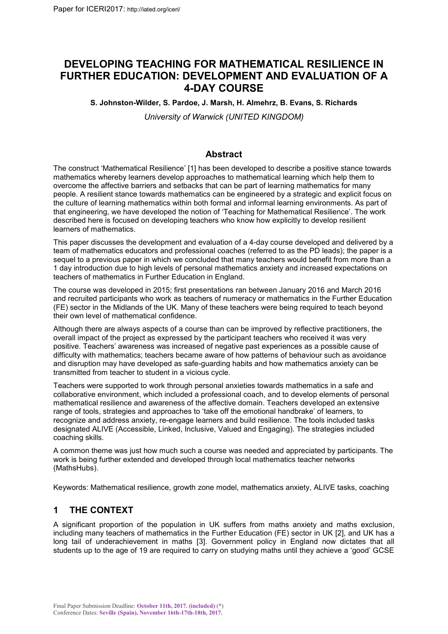# **DEVELOPING TEACHING FOR MATHEMATICAL RESILIENCE IN FURTHER EDUCATION: DEVELOPMENT AND EVALUATION OF A 4-DAY COURSE**

**S. Johnston-Wilder, S. Pardoe, J. Marsh, H. Almehrz, B. Evans, S. Richards**

*University of Warwick (UNITED KINGDOM)*

## **Abstract**

The construct 'Mathematical Resilience' [1] has been developed to describe a positive stance towards mathematics whereby learners develop approaches to mathematical learning which help them to overcome the affective barriers and setbacks that can be part of learning mathematics for many people. A resilient stance towards mathematics can be engineered by a strategic and explicit focus on the culture of learning mathematics within both formal and informal learning environments. As part of that engineering, we have developed the notion of 'Teaching for Mathematical Resilience'. The work described here is focused on developing teachers who know how explicitly to develop resilient learners of mathematics.

This paper discusses the development and evaluation of a 4-day course developed and delivered by a team of mathematics educators and professional coaches (referred to as the PD leads); the paper is a sequel to a previous paper in which we concluded that many teachers would benefit from more than a 1 day introduction due to high levels of personal mathematics anxiety and increased expectations on teachers of mathematics in Further Education in England.

The course was developed in 2015; first presentations ran between January 2016 and March 2016 and recruited participants who work as teachers of numeracy or mathematics in the Further Education (FE) sector in the Midlands of the UK. Many of these teachers were being required to teach beyond their own level of mathematical confidence.

Although there are always aspects of a course than can be improved by reflective practitioners, the overall impact of the project as expressed by the participant teachers who received it was very positive. Teachers' awareness was increased of negative past experiences as a possible cause of difficulty with mathematics; teachers became aware of how patterns of behaviour such as avoidance and disruption may have developed as safe-guarding habits and how mathematics anxiety can be transmitted from teacher to student in a vicious cycle.

Teachers were supported to work through personal anxieties towards mathematics in a safe and collaborative environment, which included a professional coach, and to develop elements of personal mathematical resilience and awareness of the affective domain. Teachers developed an extensive range of tools, strategies and approaches to 'take off the emotional handbrake' of learners, to recognize and address anxiety, re-engage learners and build resilience. The tools included tasks designated ALIVE (Accessible, Linked, Inclusive, Valued and Engaging). The strategies included coaching skills.

A common theme was just how much such a course was needed and appreciated by participants. The work is being further extended and developed through local mathematics teacher networks (MathsHubs).

Keywords: Mathematical resilience, growth zone model, mathematics anxiety, ALIVE tasks, coaching

# **1 THE CONTEXT**

A significant proportion of the population in UK suffers from maths anxiety and maths exclusion, including many teachers of mathematics in the Further Education (FE) sector in UK [2], and UK has a long tail of underachievement in maths [3]. Government policy in England now dictates that all students up to the age of 19 are required to carry on studying maths until they achieve a 'good' GCSE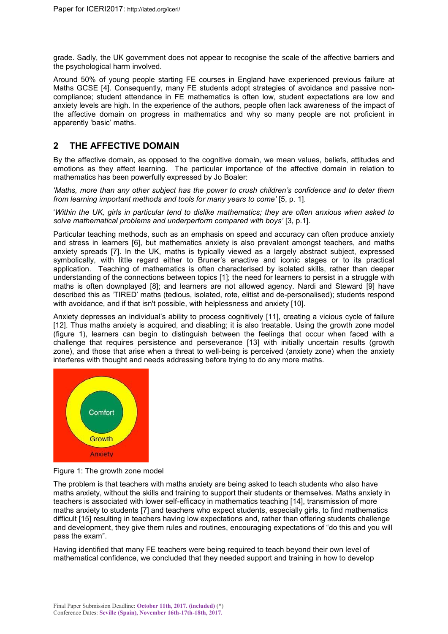grade. Sadly, the UK government does not appear to recognise the scale of the affective barriers and the psychological harm involved.

Around 50% of young people starting FE courses in England have experienced previous failure at Maths GCSE [4]. Consequently, many FE students adopt strategies of avoidance and passive noncompliance; student attendance in FE mathematics is often low, student expectations are low and anxiety levels are high. In the experience of the authors, people often lack awareness of the impact of the affective domain on progress in mathematics and why so many people are not proficient in apparently 'basic' maths.

# **2 THE AFFECTIVE DOMAIN**

By the affective domain, as opposed to the cognitive domain, we mean values, beliefs, attitudes and emotions as they affect learning. The particular importance of the affective domain in relation to mathematics has been powerfully expressed by Jo Boaler:

*'Maths, more than any other subject has the power to crush children's confidence and to deter them from learning important methods and tools for many years to come'* [5, p. 1].

'*Within the UK, girls in particular tend to dislike mathematics; they are often anxious when asked to solve mathematical problems and underperform compared with boys'* [3, p.1].

Particular teaching methods, such as an emphasis on speed and accuracy can often produce anxiety and stress in learners [6], but mathematics anxiety is also prevalent amongst teachers, and maths anxiety spreads [7]. In the UK, maths is typically viewed as a largely abstract subject, expressed symbolically, with little regard either to Bruner's enactive and iconic stages or to its practical application. Teaching of mathematics is often characterised by isolated skills, rather than deeper understanding of the connections between topics [1]; the need for learners to persist in a struggle with maths is often downplayed [8]; and learners are not allowed agency. Nardi and Steward [9] have described this as 'TIRED' maths (tedious, isolated, rote, elitist and de-personalised); students respond with avoidance, and if that isn't possible, with helplessness and anxiety [10].

Anxiety depresses an individual's ability to process cognitively [11], creating a vicious cycle of failure [12]. Thus maths anxiety is acquired, and disabling; it is also treatable. Using the growth zone model (figure 1), learners can begin to distinguish between the feelings that occur when faced with a challenge that requires persistence and perseverance [13] with initially uncertain results (growth zone), and those that arise when a threat to well-being is perceived (anxiety zone) when the anxiety interferes with thought and needs addressing before trying to do any more maths.



Figure 1: The growth zone model

The problem is that teachers with maths anxiety are being asked to teach students who also have maths anxiety, without the skills and training to support their students or themselves. Maths anxiety in teachers is associated with lower self-efficacy in mathematics teaching [14], transmission of more maths anxiety to students [7] and teachers who expect students, especially girls, to find mathematics difficult [15] resulting in teachers having low expectations and, rather than offering students challenge and development, they give them rules and routines, encouraging expectations of "do this and you will pass the exam".

Having identified that many FE teachers were being required to teach beyond their own level of mathematical confidence, we concluded that they needed support and training in how to develop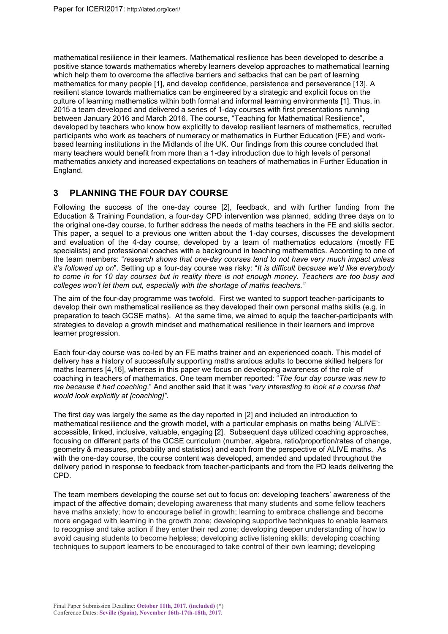mathematical resilience in their learners. Mathematical resilience has been developed to describe a positive stance towards mathematics whereby learners develop approaches to mathematical learning which help them to overcome the affective barriers and setbacks that can be part of learning mathematics for many people [1], and develop confidence, persistence and perseverance [13]. A resilient stance towards mathematics can be engineered by a strategic and explicit focus on the culture of learning mathematics within both formal and informal learning environments [1]. Thus, in 2015 a team developed and delivered a series of 1-day courses with first presentations running between January 2016 and March 2016. The course, "Teaching for Mathematical Resilience", developed by teachers who know how explicitly to develop resilient learners of mathematics, recruited participants who work as teachers of numeracy or mathematics in Further Education (FE) and workbased learning institutions in the Midlands of the UK. Our findings from this course concluded that many teachers would benefit from more than a 1-day introduction due to high levels of personal mathematics anxiety and increased expectations on teachers of mathematics in Further Education in England.

### **3 PLANNING THE FOUR DAY COURSE**

Following the success of the one-day course [2], feedback, and with further funding from the Education & Training Foundation, a four-day CPD intervention was planned, adding three days on to the original one-day course, to further address the needs of maths teachers in the FE and skills sector. This paper, a sequel to a previous one written about the 1-day courses, discusses the development and evaluation of the 4-day course, developed by a team of mathematics educators (mostly FE specialists) and professional coaches with a background in teaching mathematics. According to one of the team members: "*research shows that one-day courses tend to not have very much impact unless it's followed up on*". Setting up a four-day course was risky: "*It is difficult because we'd like everybody to come in for 10 day courses but in reality there is not enough money. Teachers are too busy and colleges won't let them out, especially with the shortage of maths teachers."*

The aim of the four-day programme was twofold. First we wanted to support teacher-participants to develop their own mathematical resilience as they developed their own personal maths skills (e.g. in preparation to teach GCSE maths). At the same time, we aimed to equip the teacher-participants with strategies to develop a growth mindset and mathematical resilience in their learners and improve learner progression.

Each four-day course was co-led by an FE maths trainer and an experienced coach. This model of delivery has a history of successfully supporting maths anxious adults to become skilled helpers for maths learners [4,16], whereas in this paper we focus on developing awareness of the role of coaching in teachers of mathematics. One team member reported: "*The four day course was new to me because it had coaching*." And another said that it was "*very interesting to look at a course that would look explicitly at [coaching]"*.

The first day was largely the same as the day reported in [2] and included an introduction to mathematical resilience and the growth model, with a particular emphasis on maths being 'ALIVE': accessible, linked, inclusive, valuable, engaging [2]. Subsequent days utilized coaching approaches, focusing on different parts of the GCSE curriculum (number, algebra, ratio/proportion/rates of change, geometry & measures, probability and statistics) and each from the perspective of ALIVE maths. As with the one-day course, the course content was developed, amended and updated throughout the delivery period in response to feedback from teacher-participants and from the PD leads delivering the CPD.

The team members developing the course set out to focus on: developing teachers' awareness of the impact of the affective domain; developing awareness that many students and some fellow teachers have maths anxiety; how to encourage belief in growth; learning to embrace challenge and become more engaged with learning in the growth zone; developing supportive techniques to enable learners to recognise and take action if they enter their red zone; developing deeper understanding of how to avoid causing students to become helpless; developing active listening skills; developing coaching techniques to support learners to be encouraged to take control of their own learning; developing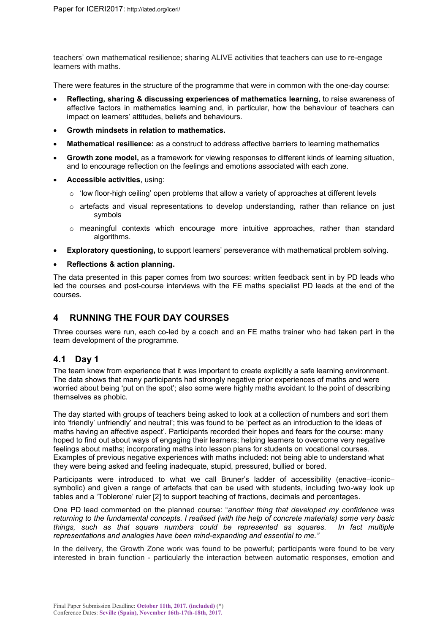teachers' own mathematical resilience; sharing ALIVE activities that teachers can use to re-engage learners with maths.

There were features in the structure of the programme that were in common with the one-day course:

- **Reflecting, sharing & discussing experiences of mathematics learning,** to raise awareness of affective factors in mathematics learning and, in particular, how the behaviour of teachers can impact on learners' attitudes, beliefs and behaviours.
- **Growth mindsets in relation to mathematics.**
- **Mathematical resilience:** as a construct to address affective barriers to learning mathematics
- **Growth zone model,** as a framework for viewing responses to different kinds of learning situation, and to encourage reflection on the feelings and emotions associated with each zone.
- **Accessible activities**, using:
	- o 'low floor-high ceiling' open problems that allow a variety of approaches at different levels
	- $\circ$  artefacts and visual representations to develop understanding, rather than reliance on just symbols
	- $\circ$  meaningful contexts which encourage more intuitive approaches, rather than standard algorithms.
- **Exploratory questioning,** to support learners' perseverance with mathematical problem solving.

#### **Reflections & action planning.**

The data presented in this paper comes from two sources: written feedback sent in by PD leads who led the courses and post-course interviews with the FE maths specialist PD leads at the end of the courses.

### **4 RUNNING THE FOUR DAY COURSES**

Three courses were run, each co-led by a coach and an FE maths trainer who had taken part in the team development of the programme.

### **4.1 Day 1**

The team knew from experience that it was important to create explicitly a safe learning environment. The data shows that many participants had strongly negative prior experiences of maths and were worried about being 'put on the spot'; also some were highly maths avoidant to the point of describing themselves as phobic.

The day started with groups of teachers being asked to look at a collection of numbers and sort them into 'friendly' unfriendly' and neutral'; this was found to be 'perfect as an introduction to the ideas of maths having an affective aspect'. Participants recorded their hopes and fears for the course: many hoped to find out about ways of engaging their learners; helping learners to overcome very negative feelings about maths; incorporating maths into lesson plans for students on vocational courses. Examples of previous negative experiences with maths included: not being able to understand what they were being asked and feeling inadequate, stupid, pressured, bullied or bored.

Participants were introduced to what we call Bruner's ladder of accessibility (enactive–iconic– symbolic) and given a range of artefacts that can be used with students, including two-way look up tables and a 'Toblerone' ruler [2] to support teaching of fractions, decimals and percentages.

One PD lead commented on the planned course: "*another thing that developed my confidence was returning to the fundamental concepts. I realised (with the help of concrete materials) some very basic things, such as that square numbers could be represented as squares. In fact multiple representations and analogies have been mind-expanding and essential to me."*

In the delivery, the Growth Zone work was found to be powerful; participants were found to be very interested in brain function - particularly the interaction between automatic responses, emotion and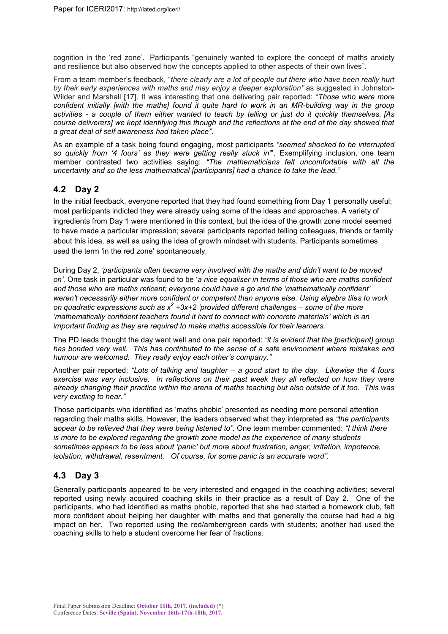cognition in the 'red zone'. Participants "genuinely wanted to explore the concept of maths anxiety and resilience but also observed how the concepts applied to other aspects of their own lives".

From a team member's feedback, "*there clearly are a lot of people out there who have been really hurt by their early experiences with maths and may enjoy a deeper exploration"* as suggested in Johnston-Wilder and Marshall [17]. It was interesting that one delivering pair reported: "*Those who were more confident initially [with the maths] found it quite hard to work in an MR-building way in the group activities - a couple of them either wanted to teach by telling or just do it quickly themselves. [As course deliverers] we kept identifying this though and the reflections at the end of the day showed that a great deal of self awareness had taken place"*.

As an example of a task being found engaging, most participants *"seemed shocked to be interrupted so quickly from '4 fours' as they were getting really stuck in'*". Exemplifying inclusion, one team member contrasted two activities saying: *"The mathematicians felt uncomfortable with all the uncertainty and so the less mathematical [participants] had a chance to take the lead."*

## **4.2 Day 2**

In the initial feedback, everyone reported that they had found something from Day 1 personally useful; most participants indicted they were already using some of the ideas and approaches. A variety of ingredients from Day 1 were mentioned in this context, but the idea of the growth zone model seemed to have made a particular impression; several participants reported telling colleagues, friends or family about this idea, as well as using the idea of growth mindset with students. Participants sometimes used the term 'in the red zone' spontaneously.

During Day 2, *'participants often became very involved with the maths and didn't want to be moved on'.* One task in particular was found to be '*a nice equaliser in terms of those who are maths confident and those who are maths reticent; everyone could have a go and the 'mathematically confident' weren't necessarily either more confident or competent than anyone else. Using algebra tiles to work on quadratic expressions such as x<sup>2</sup> +3x+2 'provided different challenges – some of the more 'mathematically confident teachers found it hard to connect with concrete materials' which is an important finding as they are required to make maths accessible for their learners.*

The PD leads thought the day went well and one pair reported: *"it is evident that the [participant] group has bonded very well. This has contributed to the sense of a safe environment where mistakes and humour are welcomed. They really enjoy each other's company."*

Another pair reported: *"Lots of talking and laughter – a good start to the day. Likewise the 4 fours exercise was very inclusive. In reflections on their past week they all reflected on how they were already changing their practice within the arena of maths teaching but also outside of it too. This was very exciting to hear."*

Those participants who identified as 'maths phobic' presented as needing more personal attention regarding their maths skills. However, the leaders observed what they interpreted as *"the participants appear to be relieved that they were being listened to".* One team member commented: *"I think there is more to be explored regarding the growth zone model as the experience of many students sometimes appears to be less about 'panic' but more about frustration, anger, irritation, impotence, isolation, withdrawal, resentment. Of course, for some panic is an accurate word".*

# **4.3 Day 3**

Generally participants appeared to be very interested and engaged in the coaching activities; several reported using newly acquired coaching skills in their practice as a result of Day 2. One of the participants, who had identified as maths phobic, reported that she had started a homework club, felt more confident about helping her daughter with maths and that generally the course had had a big impact on her. Two reported using the red/amber/green cards with students; another had used the coaching skills to help a student overcome her fear of fractions.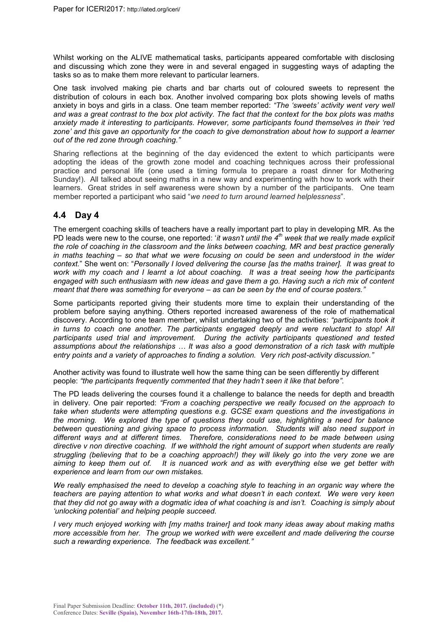Whilst working on the ALIVE mathematical tasks, participants appeared comfortable with disclosing and discussing which zone they were in and several engaged in suggesting ways of adapting the tasks so as to make them more relevant to particular learners.

One task involved making pie charts and bar charts out of coloured sweets to represent the distribution of colours in each box. Another involved comparing box plots showing levels of maths anxiety in boys and girls in a class. One team member reported: *"The 'sweets' activity went very well and was a great contrast to the box plot activity. The fact that the context for the box plots was maths anxiety made it interesting to participants. However, some participants found themselves in their 'red zone' and this gave an opportunity for the coach to give demonstration about how to support a learner out of the red zone through coaching."*

Sharing reflections at the beginning of the day evidenced the extent to which participants were adopting the ideas of the growth zone model and coaching techniques across their professional practice and personal life (one used a timing formula to prepare a roast dinner for Mothering Sunday!). All talked about seeing maths in a new way and experimenting with how to work with their learners. Great strides in self awareness were shown by a number of the participants. One team member reported a participant who said "*we need to turn around learned helplessness*".

### **4.4 Day 4**

The emergent coaching skills of teachers have a really important part to play in developing MR. As the PD leads were new to the course, one reported: '*it wasn't until the 4th week that we really made explicit the role of coaching in the classroom and the links between coaching, MR and best practice generally in maths teaching – so that what we were focusing on could be seen and understood in the wider context.*" She went on: "*Personally I loved delivering the course [as the maths trainer]. It was great to work with my coach and I learnt a lot about coaching. It was a treat seeing how the participants engaged with such enthusiasm with new ideas and gave them a go. Having such a rich mix of content meant that there was something for everyone – as can be seen by the end of course posters."*

Some participants reported giving their students more time to explain their understanding of the problem before saying anything. Others reported increased awareness of the role of mathematical discovery. According to one team member, whilst undertaking two of the activities: *"participants took it in turns to coach one another. The participants engaged deeply and were reluctant to stop! All participants used trial and improvement. During the activity participants questioned and tested assumptions about the relationships … It was also a good demonstration of a rich task with multiple entry points and a variety of approaches to finding a solution. Very rich post-activity discussion."*

Another activity was found to illustrate well how the same thing can be seen differently by different people: *"the participants frequently commented that they hadn't seen it like that before".* 

The PD leads delivering the courses found it a challenge to balance the needs for depth and breadth in delivery. One pair reported: *"From a coaching perspective we really focused on the approach to take when students were attempting questions e.g. GCSE exam questions and the investigations in the morning. We explored the type of questions they could use, highlighting a need for balance between questioning and giving space to process information. Students will also need support in different ways and at different times. Therefore, considerations need to be made between using directive v non directive coaching. If we withhold the right amount of support when students are really struggling (believing that to be a coaching approach!) they will likely go into the very zone we are aiming to keep them out of. It is nuanced work and as with everything else we get better with experience and learn from our own mistakes.*

*We really emphasised the need to develop a coaching style to teaching in an organic way where the teachers are paying attention to what works and what doesn't in each context. We were very keen that they did not go away with a dogmatic idea of what coaching is and isn't. Coaching is simply about 'unlocking potential' and helping people succeed.* 

*I very much enjoyed working with [my maths trainer] and took many ideas away about making maths more accessible from her. The group we worked with were excellent and made delivering the course such a rewarding experience. The feedback was excellent."*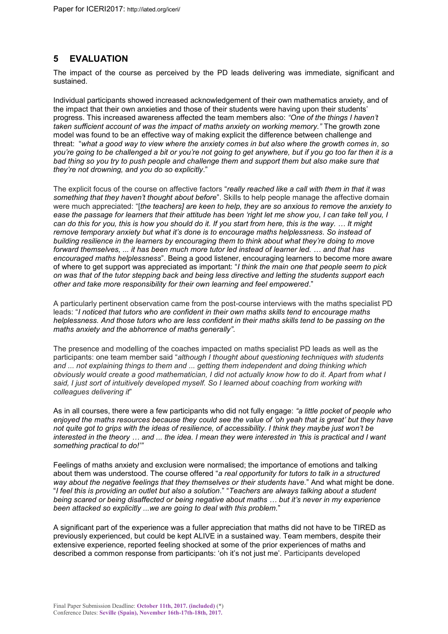# **5 EVALUATION**

The impact of the course as perceived by the PD leads delivering was immediate, significant and sustained.

Individual participants showed increased acknowledgement of their own mathematics anxiety, and of the impact that their own anxieties and those of their students were having upon their students' progress. This increased awareness affected the team members also: *"One of the things I haven't taken sufficient account of was the impact of maths anxiety on working memory."* The growth zone model was found to be an effective way of making explicit the difference between challenge and threat: "*what a good way to view where the anxiety comes in but also where the growth comes in, so you're going to be challenged a bit or you're not going to get anywhere, but if you go too far then it is a bad thing so you try to push people and challenge them and support them but also make sure that they're not drowning, and you do so explicitly*."

The explicit focus of the course on affective factors "*really reached like a call with them in that it was something that they haven't thought about before*". Skills to help people manage the affective domain were much appreciated: "[*the teachers] are keen to help, they are so anxious to remove the anxiety to ease the passage for learners that their attitude has been 'right let me show you, I can take tell you, I can do this for you, this is how you should do it. If you start from here, this is the way. … It might remove temporary anxiety but what it's done is to encourage maths helplessness. So instead of building resilience in the learners by encouraging them to think about what they're doing to move forward themselves, ... it has been much more tutor led instead of learner led. … and that has encouraged maths helplessness*". Being a good listener, encouraging learners to become more aware of where to get support was appreciated as important: "*I think the main one that people seem to pick on was that of the tutor stepping back and being less directive and letting the students support each other and take more responsibility for their own learning and feel empowered*."

A particularly pertinent observation came from the post-course interviews with the maths specialist PD leads: "*I noticed that tutors who are confident in their own maths skills tend to encourage maths helplessness. And those tutors who are less confident in their maths skills tend to be passing on the maths anxiety and the abhorrence of maths generally".*

The presence and modelling of the coaches impacted on maths specialist PD leads as well as the participants: one team member said "*although I thought about questioning techniques with students and ... not explaining things to them and ... getting them independent and doing thinking which obviously would create a good mathematician, I did not actually know how to do it. Apart from what I said, I just sort of intuitively developed myself. So I learned about coaching from working with colleagues delivering it*"

As in all courses, there were a few participants who did not fully engage: *"a little pocket of people who enjoyed the maths resources because they could see the value of 'oh yeah that is great' but they have not quite got to grips with the ideas of resilience, of accessibility. I think they maybe just won't be interested in the theory … and ... the idea. I mean they were interested in 'this is practical and I want something practical to do!'"*

Feelings of maths anxiety and exclusion were normalised; the importance of emotions and talking about them was understood. The course offered "*a real opportunity for tutors to talk in a structured way about the negative feelings that they themselves or their students have.*" And what might be done. "*I feel this is providing an outlet but also a solution*." "*Teachers are always talking about a student being scared or being disaffected or being negative about maths … but it's never in my experience been attacked so explicitly ...we are going to deal with this problem.*"

A significant part of the experience was a fuller appreciation that maths did not have to be TIRED as previously experienced, but could be kept ALIVE in a sustained way. Team members, despite their extensive experience, reported feeling shocked at some of the prior experiences of maths and described a common response from participants: 'oh it's not just me'. Participants developed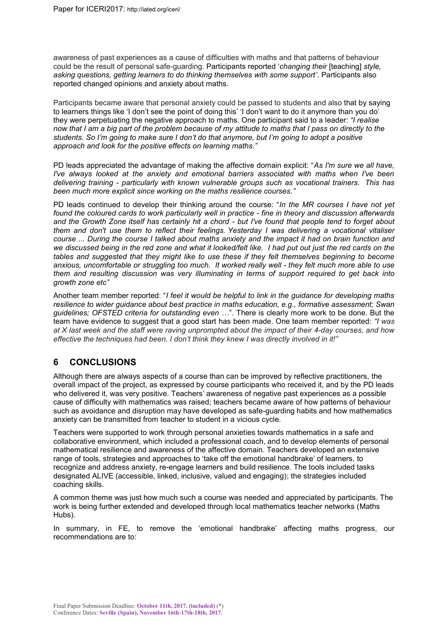awareness of past experiences as a cause of difficulties with maths and that patterns of behaviour could be the result of personal safe-guarding. Participants reported '*changing their* [teaching] *style, asking questions, getting learners to do thinking themselves with some support'*. Participants also reported changed opinions and anxiety about maths.

Participants became aware that personal anxiety could be passed to students and also that by saying to learners things like 'I don't see the point of doing this' 'I don't want to do it anymore than you do' they were perpetuating the negative approach to maths. One participant said to a leader: *"I realise now that I am a big part of the problem because of my attitude to maths that I pass on directly to the students. So I'm going to make sure I don't do that anymore, but I'm going to adopt a positive approach and look for the positive effects on learning maths."*

PD leads appreciated the advantage of making the affective domain explicit: "*As I'm sure we all have, I've always looked at the anxiety and emotional barriers associated with maths when I've been delivering training - particularly with known vulnerable groups such as vocational trainers. This has been much more explicit since working on the maths resilience courses."*

PD leads continued to develop their thinking around the course: "*In the MR courses I have not yet found the coloured cards to work particularly well in practice - fine in theory and discussion afterwards and the Growth Zone itself has certainly hit a chord - but I've found that people tend to forget about them and don't use them to reflect their feelings. Yesterday I was delivering a vocational vitaliser course ... During the course I talked about maths anxiety and the impact it had on brain function and we discussed being in the red zone and what it looked/felt like. I had put out just the red cards on the tables and suggested that they might like to use these if they felt themselves beginning to become anxious, uncomfortable or struggling too much. It worked really well - they felt much more able to use them and resulting discussion was very illuminating in terms of support required to get back into growth zone etc"*

Another team member reported: "*I feel it would be helpful to link in the guidance for developing maths resilience to wider guidance about best practice in maths education, e.g., formative assessment; Swan guidelines; OFSTED criteria for outstanding even …*". There is clearly more work to be done. But the team have evidence to suggest that a good start has been made. One team member reported: *"I was at X last week and the staff were raving unprompted about the impact of their 4-day courses, and how effective the techniques had been. I don't think they knew I was directly involved in it!"*

# **6 CONCLUSIONS**

Although there are always aspects of a course than can be improved by reflective practitioners, the overall impact of the project, as expressed by course participants who received it, and by the PD leads who delivered it, was very positive. Teachers' awareness of negative past experiences as a possible cause of difficulty with mathematics was raised; teachers became aware of how patterns of behaviour such as avoidance and disruption may have developed as safe-guarding habits and how mathematics anxiety can be transmitted from teacher to student in a vicious cycle.

Teachers were supported to work through personal anxieties towards mathematics in a safe and collaborative environment, which included a professional coach, and to develop elements of personal mathematical resilience and awareness of the affective domain. Teachers developed an extensive range of tools, strategies and approaches to 'take off the emotional handbrake' of learners, to recognize and address anxiety, re-engage learners and build resilience. The tools included tasks designated ALIVE (accessible, linked, inclusive, valued and engaging); the strategies included coaching skills.

A common theme was just how much such a course was needed and appreciated by participants. The work is being further extended and developed through local mathematics teacher networks (Maths Hubs).

In summary, in FE, to remove the 'emotional handbrake' affecting maths progress, our recommendations are to: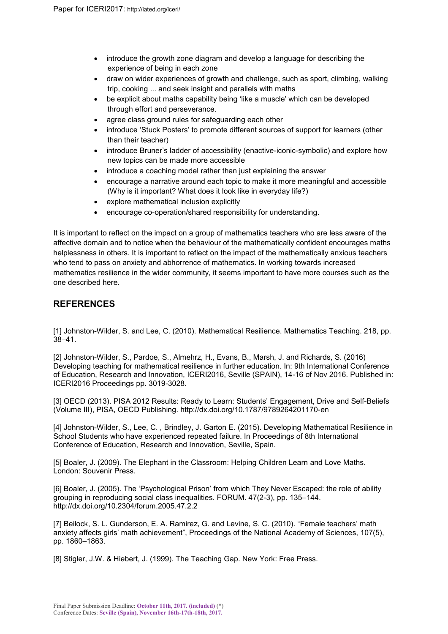- introduce the growth zone diagram and develop a language for describing the experience of being in each zone
- draw on wider experiences of growth and challenge, such as sport, climbing, walking trip, cooking ... and seek insight and parallels with maths
- be explicit about maths capability being 'like a muscle' which can be developed through effort and perseverance.
- agree class ground rules for safeguarding each other
- introduce 'Stuck Posters' to promote different sources of support for learners (other than their teacher)
- introduce Bruner's ladder of accessibility (enactive-iconic-symbolic) and explore how new topics can be made more accessible
- introduce a coaching model rather than just explaining the answer
- encourage a narrative around each topic to make it more meaningful and accessible (Why is it important? What does it look like in everyday life?)
- explore mathematical inclusion explicitly
- encourage co-operation/shared responsibility for understanding.

It is important to reflect on the impact on a group of mathematics teachers who are less aware of the affective domain and to notice when the behaviour of the mathematically confident encourages maths helplessness in others. It is important to reflect on the impact of the mathematically anxious teachers who tend to pass on anxiety and abhorrence of mathematics. In working towards increased mathematics resilience in the wider community, it seems important to have more courses such as the one described here.

## **REFERENCES**

[1] Johnston-Wilder, S. and Lee, C. (2010). Mathematical Resilience. Mathematics Teaching. 218, pp. 38–41.

[2] Johnston-Wilder, S., Pardoe, S., Almehrz, H., Evans, B., Marsh, J. and Richards, S. (2016) Developing teaching for mathematical resilience in further education. In: 9th International Conference of Education, Research and Innovation, ICERI2016, Seville (SPAIN), 14-16 of Nov 2016. Published in: ICERI2016 Proceedings pp. 3019-3028.

[3] OECD (2013). PISA 2012 Results: Ready to Learn: Students' Engagement, Drive and Self-Beliefs (Volume III), PISA, OECD Publishing. http://dx.doi.org/10.1787/9789264201170-en

[4] Johnston-Wilder, S., Lee, C. , Brindley, J. Garton E. (2015). Developing Mathematical Resilience in School Students who have experienced repeated failure. In Proceedings of 8th International Conference of Education, Research and Innovation, Seville, Spain.

[5] Boaler, J. (2009). The Elephant in the Classroom: Helping Children Learn and Love Maths. London: Souvenir Press.

[6] Boaler, J. (2005). The 'Psychological Prison' from which They Never Escaped: the role of ability grouping in reproducing social class inequalities. FORUM. 47(2-3), pp. 135–144. http://dx.doi.org/10.2304/forum.2005.47.2.2

[7] Beilock, S. L. Gunderson, E. A. Ramirez, G. and Levine, S. C. (2010). "Female teachers' math anxiety affects girls' math achievement", Proceedings of the National Academy of Sciences, 107(5), pp. 1860–1863.

[8] Stigler, J.W. & Hiebert, J. (1999). The Teaching Gap. New York: Free Press.